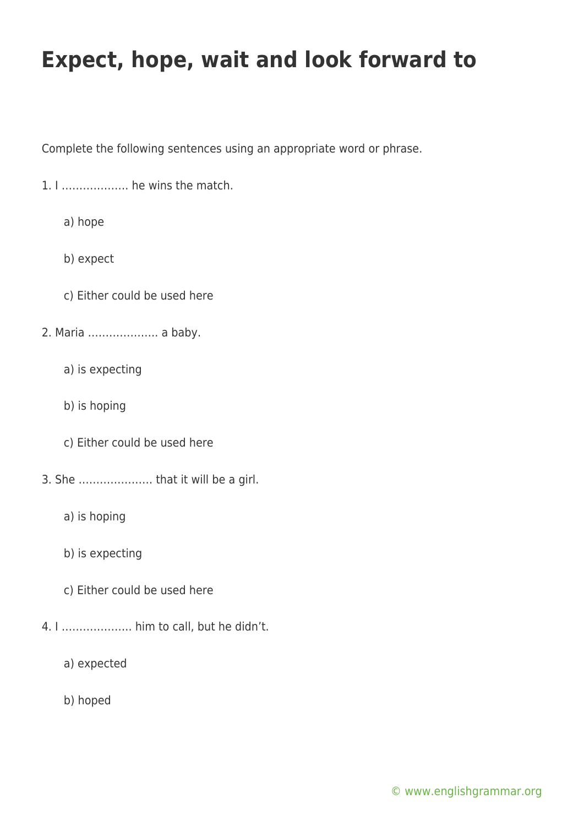Complete the following sentences using an appropriate word or phrase.

- 1. I ………………. he wins the match.
	- a) hope
	- b) expect
	- c) Either could be used here
- 2. Maria ……………….. a baby.
	- a) is expecting
	- b) is hoping
	- c) Either could be used here
- 3. She ………………… that it will be a girl.
	- a) is hoping
	- b) is expecting
	- c) Either could be used here
- 4. I ……………….. him to call, but he didn't.
	- a) expected
	- b) hoped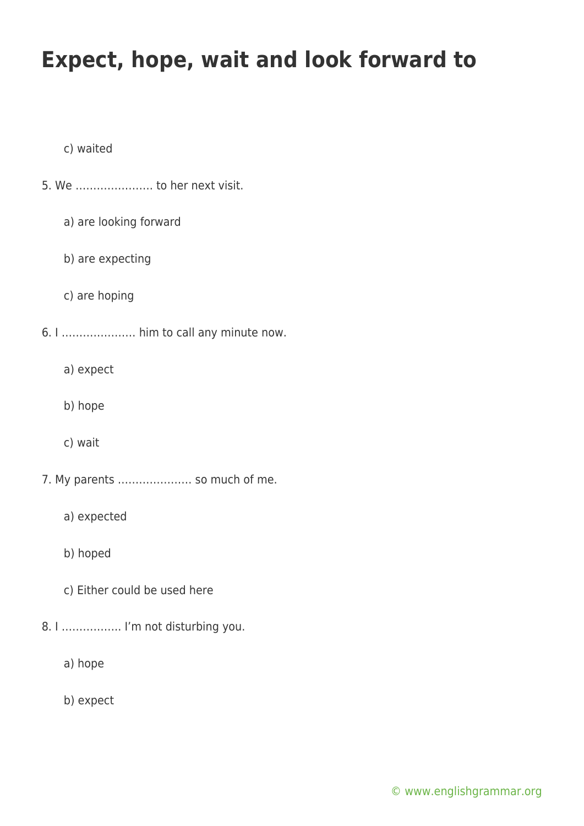c) waited

- 5. We …………………. to her next visit.
	- a) are looking forward
	- b) are expecting
	- c) are hoping
- 6. I ………………… him to call any minute now.
	- a) expect
	- b) hope
	- c) wait
- 7. My parents ………………… so much of me.
	- a) expected
	- b) hoped
	- c) Either could be used here
- 8. I …………….. I'm not disturbing you.
	- a) hope
	- b) expect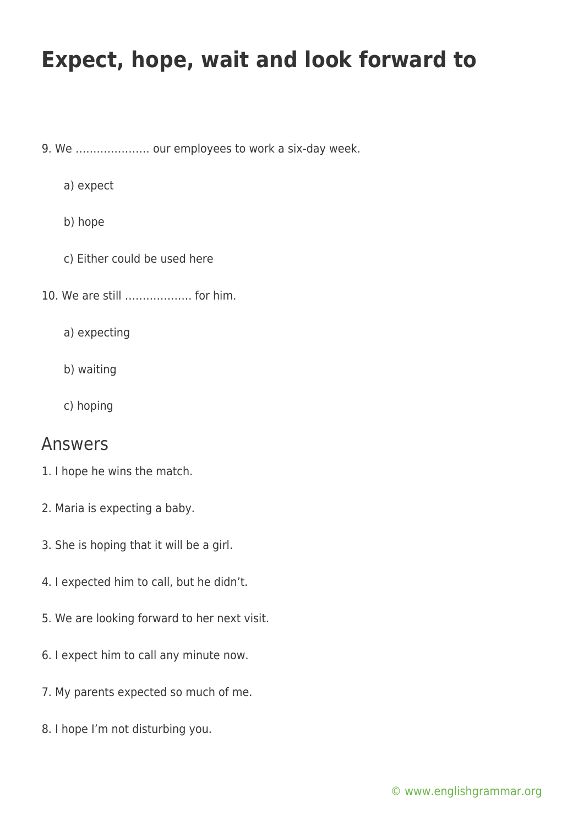9. We ………………… our employees to work a six-day week.

a) expect

b) hope

- c) Either could be used here
- 10. We are still ………………. for him.

a) expecting

b) waiting

c) hoping

#### Answers

- 1. I hope he wins the match.
- 2. Maria is expecting a baby.
- 3. She is hoping that it will be a girl.
- 4. I expected him to call, but he didn't.
- 5. We are looking forward to her next visit.
- 6. I expect him to call any minute now.
- 7. My parents expected so much of me.
- 8. I hope I'm not disturbing you.